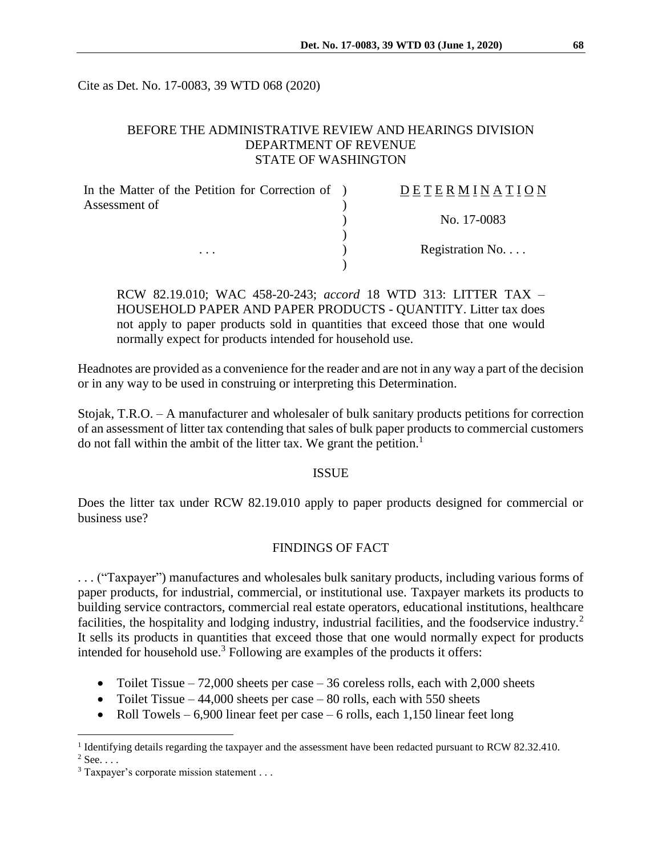Cite as Det. No. 17-0083, 39 WTD 068 (2020)

## BEFORE THE ADMINISTRATIVE REVIEW AND HEARINGS DIVISION DEPARTMENT OF REVENUE STATE OF WASHINGTON

| In the Matter of the Petition for Correction of ) | DETERMINATION            |
|---------------------------------------------------|--------------------------|
| Assessment of                                     |                          |
| $\cdots$                                          | No. 17-0083              |
|                                                   |                          |
|                                                   | Registration No. $\dots$ |
|                                                   |                          |

RCW 82.19.010; WAC 458-20-243; *accord* 18 WTD 313: LITTER TAX – HOUSEHOLD PAPER AND PAPER PRODUCTS - QUANTITY. Litter tax does not apply to paper products sold in quantities that exceed those that one would normally expect for products intended for household use.

Headnotes are provided as a convenience for the reader and are not in any way a part of the decision or in any way to be used in construing or interpreting this Determination.

Stojak, T.R.O. – A manufacturer and wholesaler of bulk sanitary products petitions for correction of an assessment of litter tax contending that sales of bulk paper products to commercial customers do not fall within the ambit of the litter tax. We grant the petition.<sup>1</sup>

#### ISSUE

Does the litter tax under RCW 82.19.010 apply to paper products designed for commercial or business use?

### FINDINGS OF FACT

. . . ("Taxpayer") manufactures and wholesales bulk sanitary products, including various forms of paper products, for industrial, commercial, or institutional use. Taxpayer markets its products to building service contractors, commercial real estate operators, educational institutions, healthcare facilities, the hospitality and lodging industry, industrial facilities, and the foodservice industry.<sup>2</sup> It sells its products in quantities that exceed those that one would normally expect for products intended for household use.<sup>3</sup> Following are examples of the products it offers:

- Toilet Tissue  $-72,000$  sheets per case  $-36$  coreless rolls, each with 2,000 sheets
- Toilet Tissue 44,000 sheets per case 80 rolls, each with 550 sheets
- Roll Towels 6,900 linear feet per case 6 rolls, each 1,150 linear feet long

 $2$  See. . . .

 $\overline{a}$ 

<sup>&</sup>lt;sup>1</sup> Identifying details regarding the taxpayer and the assessment have been redacted pursuant to RCW 82.32.410.

 $3$  Taxpayer's corporate mission statement . . .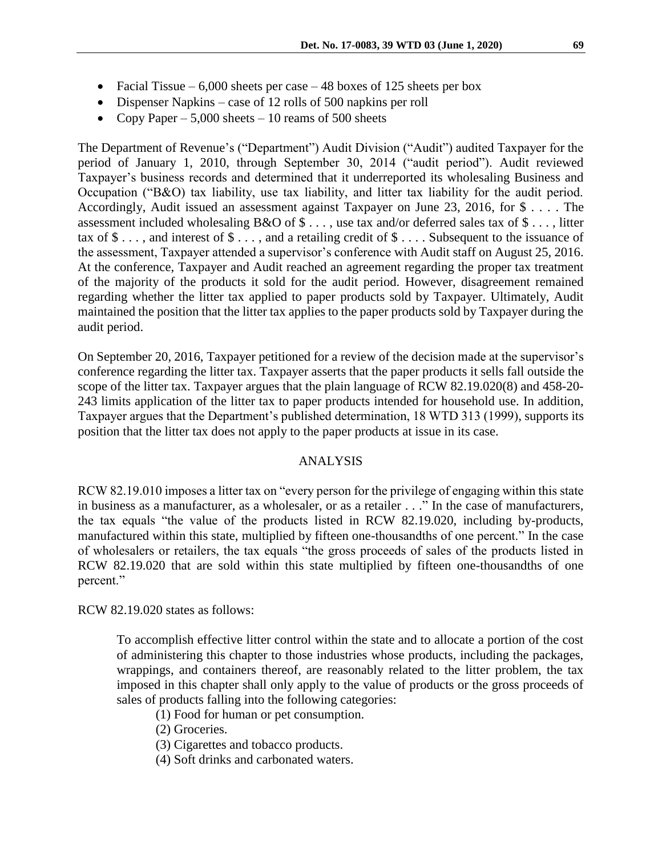- Facial Tissue  $6,000$  sheets per case 48 boxes of 125 sheets per box
- Dispenser Napkins case of 12 rolls of 500 napkins per roll
- Copy Paper  $5,000$  sheets 10 reams of 500 sheets

The Department of Revenue's ("Department") Audit Division ("Audit") audited Taxpayer for the period of January 1, 2010, through September 30, 2014 ("audit period"). Audit reviewed Taxpayer's business records and determined that it underreported its wholesaling Business and Occupation ("B&O) tax liability, use tax liability, and litter tax liability for the audit period. Accordingly, Audit issued an assessment against Taxpayer on June 23, 2016, for \$ . . . . The assessment included wholesaling B&O of \$ . . . , use tax and/or deferred sales tax of \$ . . . , litter tax of  $\$\ldots$ , and interest of  $\$\ldots$ , and a retailing credit of  $\$\ldots$ . Subsequent to the issuance of the assessment, Taxpayer attended a supervisor's conference with Audit staff on August 25, 2016. At the conference, Taxpayer and Audit reached an agreement regarding the proper tax treatment of the majority of the products it sold for the audit period. However, disagreement remained regarding whether the litter tax applied to paper products sold by Taxpayer. Ultimately, Audit maintained the position that the litter tax applies to the paper products sold by Taxpayer during the audit period.

On September 20, 2016, Taxpayer petitioned for a review of the decision made at the supervisor's conference regarding the litter tax. Taxpayer asserts that the paper products it sells fall outside the scope of the litter tax. Taxpayer argues that the plain language of RCW 82.19.020(8) and 458-20- 243 limits application of the litter tax to paper products intended for household use. In addition, Taxpayer argues that the Department's published determination, 18 WTD 313 (1999), supports its position that the litter tax does not apply to the paper products at issue in its case.

#### ANALYSIS

RCW 82.19.010 imposes a litter tax on "every person for the privilege of engaging within this state in business as a manufacturer, as a wholesaler, or as a retailer . . ." In the case of manufacturers, the tax equals "the value of the products listed in RCW 82.19.020, including by-products, manufactured within this state, multiplied by fifteen one-thousandths of one percent." In the case of wholesalers or retailers, the tax equals "the gross proceeds of sales of the products listed in RCW 82.19.020 that are sold within this state multiplied by fifteen one-thousandths of one percent."

RCW 82.19.020 states as follows:

To accomplish effective litter control within the state and to allocate a portion of the cost of administering this chapter to those industries whose products, including the packages, wrappings, and containers thereof, are reasonably related to the litter problem, the tax imposed in this chapter shall only apply to the value of products or the gross proceeds of sales of products falling into the following categories:

- (1) Food for human or pet consumption.
- (2) Groceries.
- (3) Cigarettes and tobacco products.
- (4) Soft drinks and carbonated waters.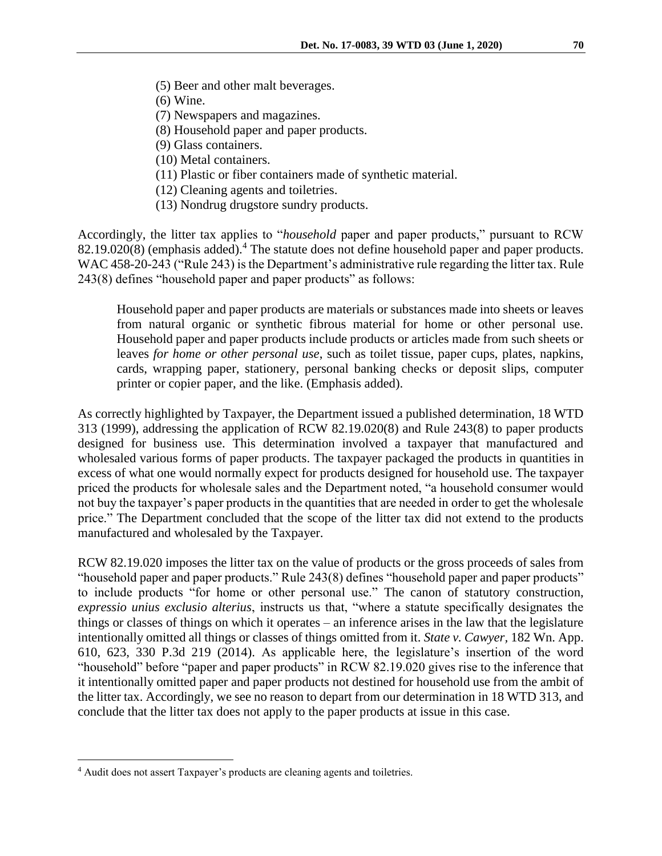- (5) Beer and other malt beverages.
- (6) Wine.
- (7) Newspapers and magazines.
- (8) Household paper and paper products.
- (9) Glass containers.
- (10) Metal containers.
- (11) Plastic or fiber containers made of synthetic material.
- (12) Cleaning agents and toiletries.
- (13) Nondrug drugstore sundry products.

Accordingly, the litter tax applies to "*household* paper and paper products," pursuant to RCW 82.19.020(8) (emphasis added). <sup>4</sup> The statute does not define household paper and paper products. WAC 458-20-243 ("Rule 243) is the Department's administrative rule regarding the litter tax. Rule 243(8) defines "household paper and paper products" as follows:

Household paper and paper products are materials or substances made into sheets or leaves from natural organic or synthetic fibrous material for home or other personal use. Household paper and paper products include products or articles made from such sheets or leaves *for home or other personal use*, such as toilet tissue, paper cups, plates, napkins, cards, wrapping paper, stationery, personal banking checks or deposit slips, computer printer or copier paper, and the like. (Emphasis added).

As correctly highlighted by Taxpayer, the Department issued a published determination, 18 WTD 313 (1999), addressing the application of RCW 82.19.020(8) and Rule 243(8) to paper products designed for business use. This determination involved a taxpayer that manufactured and wholesaled various forms of paper products. The taxpayer packaged the products in quantities in excess of what one would normally expect for products designed for household use. The taxpayer priced the products for wholesale sales and the Department noted, "a household consumer would not buy the taxpayer's paper products in the quantities that are needed in order to get the wholesale price." The Department concluded that the scope of the litter tax did not extend to the products manufactured and wholesaled by the Taxpayer.

RCW 82.19.020 imposes the litter tax on the value of products or the gross proceeds of sales from "household paper and paper products." Rule 243(8) defines "household paper and paper products" to include products "for home or other personal use." The canon of statutory construction, *expressio unius exclusio alterius*, instructs us that, "where a statute specifically designates the things or classes of things on which it operates – an inference arises in the law that the legislature intentionally omitted all things or classes of things omitted from it. *State v. Cawyer,* 182 Wn. App. 610, 623, 330 P.3d 219 (2014). As applicable here, the legislature's insertion of the word "household" before "paper and paper products" in RCW 82.19.020 gives rise to the inference that it intentionally omitted paper and paper products not destined for household use from the ambit of the litter tax. Accordingly, we see no reason to depart from our determination in 18 WTD 313, and conclude that the litter tax does not apply to the paper products at issue in this case.

 $\overline{a}$ 

<sup>&</sup>lt;sup>4</sup> Audit does not assert Taxpayer's products are cleaning agents and toiletries.